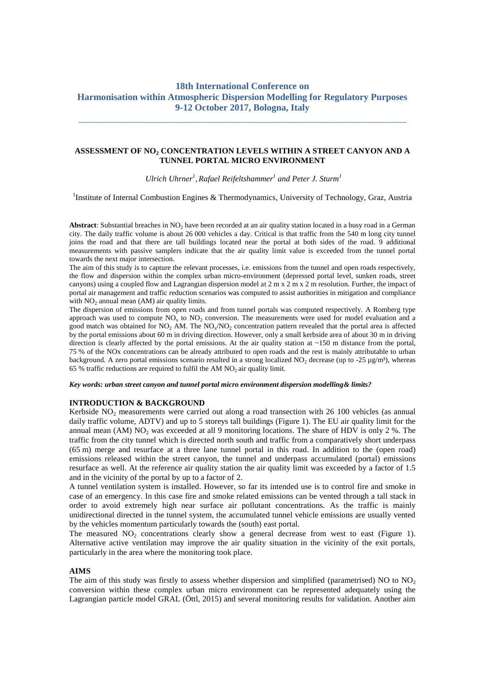# **18th International Conference on Harmonisation within Atmospheric Dispersion Modelling for Regulatory Purposes 9-12 October 2017, Bologna, Italy**

\_\_\_\_\_\_\_\_\_\_\_\_\_\_\_\_\_\_\_\_\_\_\_\_\_\_\_\_\_\_\_\_\_\_\_\_\_\_\_\_\_\_\_\_\_\_\_\_\_\_\_\_\_\_\_\_\_\_\_\_\_\_\_\_\_\_\_\_\_\_

### **ASSESSMENT OF NO<sup>2</sup> CONCENTRATION LEVELS WITHIN A STREET CANYON AND A TUNNEL PORTAL MICRO ENVIRONMENT**

*Ulrich Uhrner<sup>1</sup> , Rafael Reifeltshammer<sup>1</sup> and Peter J. Sturm<sup>1</sup>*

<sup>1</sup>Institute of Internal Combustion Engines & Thermodynamics, University of Technology, Graz, Austria

**Abstract**: Substantial breaches in NO<sub>2</sub> have been recorded at an air quality station located in a busy road in a German city. The daily traffic volume is about 26 000 vehicles a day. Critical is that traffic from the 540 m long city tunnel joins the road and that there are tall buildings located near the portal at both sides of the road. 9 additional measurements with passive samplers indicate that the air quality limit value is exceeded from the tunnel portal towards the next major intersection.

The aim of this study is to capture the relevant processes, i.e. emissions from the tunnel and open roads respectively, the flow and dispersion within the complex urban micro-environment (depressed portal level, sunken roads, street canyons) using a coupled flow and Lagrangian dispersion model at 2 m x 2 m x 2 m resolution. Further, the impact of portal air management and traffic reduction scenarios was computed to assist authorities in mitigation and compliance with  $NO<sub>2</sub>$  annual mean (AM) air quality limits.

The dispersion of emissions from open roads and from tunnel portals was computed respectively. A Romberg type approach was used to compute  $NO_x$  to  $NO_2$  conversion. The measurements were used for model evaluation and a good match was obtained for  $NO_2$  AM. The  $NO_x/NO_2$  concentration pattern revealed that the portal area is affected by the portal emissions about 60 m in driving direction. However, only a small kerbside area of about 30 m in driving direction is clearly affected by the portal emissions. At the air quality station at ~150 m distance from the portal, 75 % of the NOx concentrations can be already attributed to open roads and the rest is mainly attributable to urban background. A zero portal emissions scenario resulted in a strong localized NO<sub>2</sub> decrease (up to -25  $\mu$ g/m<sup>3</sup>), whereas 65 % traffic reductions are required to fulfil the AM  $NO<sub>2</sub>$  air quality limit.

*Key words: urban street canyon and tunnel portal micro environment dispersion modelling& limits?*

# **INTRODUCTION & BACKGROUND**

Kerbside  $NO<sub>2</sub>$  measurements were carried out along a road transection with 26 100 vehicles (as annual daily traffic volume, ADTV) and up to 5 storeys tall buildings [\(Figure 1\)](#page-1-0). The EU air quality limit for the annual mean (AM)  $NO<sub>2</sub>$  was exceeded at all 9 monitoring locations. The share of HDV is only 2 %. The traffic from the city tunnel which is directed north south and traffic from a comparatively short underpass (65 m) merge and resurface at a three lane tunnel portal in this road. In addition to the (open road) emissions released within the street canyon, the tunnel and underpass accumulated (portal) emissions resurface as well. At the reference air quality station the air quality limit was exceeded by a factor of 1.5 and in the vicinity of the portal by up to a factor of 2.

A tunnel ventilation system is installed. However, so far its intended use is to control fire and smoke in case of an emergency. In this case fire and smoke related emissions can be vented through a tall stack in order to avoid extremely high near surface air pollutant concentrations. As the traffic is mainly unidirectional directed in the tunnel system, the accumulated tunnel vehicle emissions are usually vented by the vehicles momentum particularly towards the (south) east portal.

The measured  $NO<sub>2</sub>$  concentrations clearly show a general decrease from west to east [\(Figure 1\)](#page-1-0). Alternative active ventilation may improve the air quality situation in the vicinity of the exit portals, particularly in the area where the monitoring took place.

#### **AIMS**

The aim of this study was firstly to assess whether dispersion and simplified (parametrised) NO to  $NO<sub>2</sub>$ conversion within these complex urban micro environment can be represented adequately using the Lagrangian particle model GRAL (Öttl, 2015) and several monitoring results for validation. Another aim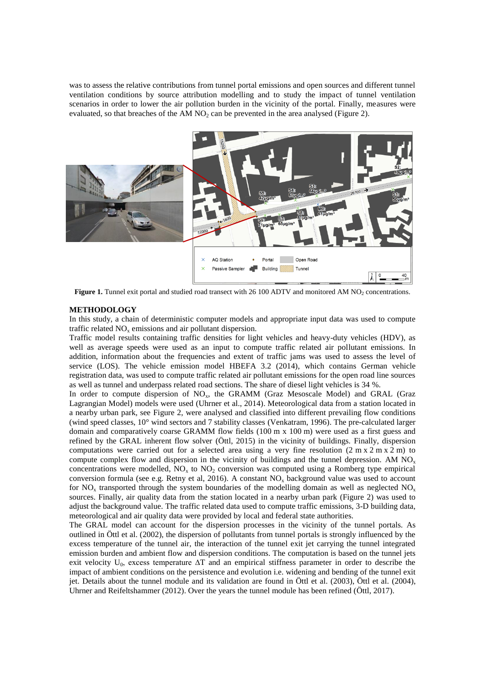was to assess the relative contributions from tunnel portal emissions and open sources and different tunnel ventilation conditions by source attribution modelling and to study the impact of tunnel ventilation scenarios in order to lower the air pollution burden in the vicinity of the portal. Finally, measures were evaluated, so that breaches of the AM NO<sub>2</sub> can be prevented in the area analysed [\(Figure 2\)](#page-2-0).



**Figure 1.** Tunnel exit portal and studied road transect with 26 100 ADTV and monitored AM NO<sub>2</sub> concentrations.

#### <span id="page-1-0"></span>**METHODOLOGY**

In this study, a chain of deterministic computer models and appropriate input data was used to compute traffic related  $NO<sub>x</sub>$  emissions and air pollutant dispersion.

Traffic model results containing traffic densities for light vehicles and heavy-duty vehicles (HDV), as well as average speeds were used as an input to compute traffic related air pollutant emissions. In addition, information about the frequencies and extent of traffic jams was used to assess the level of service (LOS). The vehicle emission model HBEFA 3.2 (2014), which contains German vehicle registration data, was used to compute traffic related air pollutant emissions for the open road line sources as well as tunnel and underpass related road sections. The share of diesel light vehicles is 34 %.

In order to compute dispersion of  $NO<sub>x</sub>$ , the GRAMM (Graz Mesoscale Model) and GRAL (Graz Lagrangian Model) models were used (Uhrner et al., 2014). Meteorological data from a station located in a nearby urban park, see [Figure 2,](#page-2-0) were analysed and classified into different prevailing flow conditions (wind speed classes, 10° wind sectors and 7 stability classes (Venkatram, 1996). The pre-calculated larger domain and comparatively coarse GRAMM flow fields (100 m x 100 m) were used as a first guess and refined by the GRAL inherent flow solver (Öttl, 2015) in the vicinity of buildings. Finally, dispersion computations were carried out for a selected area using a very fine resolution  $(2 \text{ m} \times 2 \text{ m} \times 2 \text{ m})$  to compute complex flow and dispersion in the vicinity of buildings and the tunnel depression. AM  $NO<sub>x</sub>$ concentrations were modelled,  $\overline{NO_x}$  to  $\overline{NO_2}$  conversion was computed using a Romberg type empirical conversion formula (see e.g. Retny et al, 2016). A constant  $NO<sub>x</sub>$  background value was used to account for NO<sub>x</sub> transported through the system boundaries of the modelling domain as well as neglected NO<sub>x</sub> sources. Finally, air quality data from the station located in a nearby urban park [\(Figure 2\)](#page-2-0) was used to adjust the background value. The traffic related data used to compute traffic emissions, 3-D building data, meteorological and air quality data were provided by local and federal state authorities.

The GRAL model can account for the dispersion processes in the vicinity of the tunnel portals. As outlined in Öttl et al. (2002), the dispersion of pollutants from tunnel portals is strongly influenced by the excess temperature of the tunnel air, the interaction of the tunnel exit jet carrying the tunnel integrated emission burden and ambient flow and dispersion conditions. The computation is based on the tunnel jets exit velocity U<sub>0</sub>, excess temperature ∆T and an empirical stiffness parameter in order to describe the impact of ambient conditions on the persistence and evolution i.e. widening and bending of the tunnel exit jet. Details about the tunnel module and its validation are found in Öttl et al. (2003), Öttl et al. (2004), Uhrner and Reifeltshammer (2012). Over the years the tunnel module has been refined (Öttl, 2017).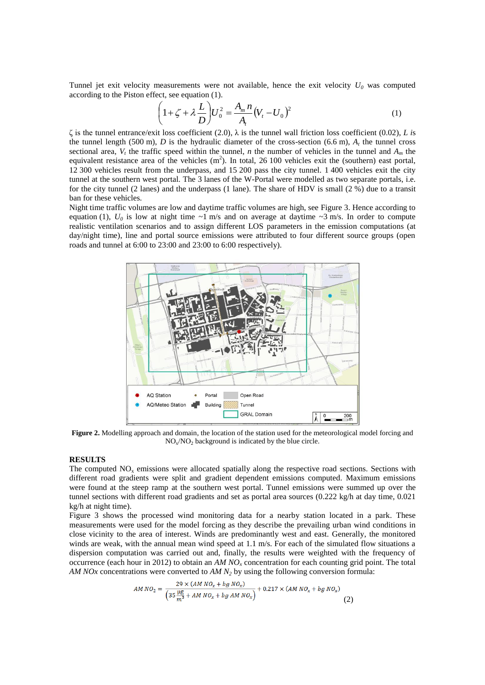Tunnel jet exit velocity measurements were not available, hence the exit velocity  $U_0$  was computed according to the Piston effect, see equation (1).

$$
\left(1 + \zeta + \lambda \frac{L}{D}\right) U_0^2 = \frac{A_m n}{A_t} (V_t - U_0)^2
$$
\n(1)

ζ is the tunnel entrance/exit loss coefficient (2.0), λ is the tunnel wall friction loss coefficient (0.02), *L i*s the tunnel length (500 m),  $D$  is the hydraulic diameter of the cross-section (6.6 m),  $A_t$  the tunnel cross sectional area,  $V_t$  the traffic speed within the tunnel, *n* the number of vehicles in the tunnel and  $A_m$  the equivalent resistance area of the vehicles  $(m^2)$ . In total, 26 100 vehicles exit the (southern) east portal, 12 300 vehicles result from the underpass, and 15 200 pass the city tunnel. 1 400 vehicles exit the city tunnel at the southern west portal. The 3 lanes of the W-Portal were modelled as two separate portals, i.e. for the city tunnel (2 lanes) and the underpass (1 lane). The share of HDV is small (2 %) due to a transit ban for these vehicles.

Night time traffic volumes are low and daytime traffic volumes are high, see [Figure 3.](#page-3-0) Hence according to equation (1),  $U_0$  is low at night time ~1 m/s and on average at daytime ~3 m/s. In order to compute realistic ventilation scenarios and to assign different LOS parameters in the emission computations (at day/night time), line and portal source emissions were attributed to four different source groups (open roads and tunnel at 6:00 to 23:00 and 23:00 to 6:00 respectively).



<span id="page-2-0"></span>**Figure 2.** Modelling approach and domain, the location of the station used for the meteorological model forcing and  $NO<sub>x</sub>/NO<sub>2</sub>$  background is indicated by the blue circle.

### **RESULTS**

The computed  $NO<sub>x</sub>$  emissions were allocated spatially along the respective road sections. Sections with different road gradients were split and gradient dependent emissions computed. Maximum emissions were found at the steep ramp at the southern west portal. Tunnel emissions were summed up over the tunnel sections with different road gradients and set as portal area sources (0.222 kg/h at day time, 0.021 kg/h at night time).

[Figure 3](#page-3-0) shows the processed wind monitoring data for a nearby station located in a park. These measurements were used for the model forcing as they describe the prevailing urban wind conditions in close vicinity to the area of interest. Winds are predominantly west and east. Generally, the monitored winds are weak, with the annual mean wind speed at 1.1 m/s. For each of the simulated flow situations a dispersion computation was carried out and, finally, the results were weighted with the frequency of occurrence (each hour in 2012) to obtain an *AM NO<sup>x</sup>* concentration for each counting grid point. The total *AM NOx* concentrations were converted to *AM N<sup>2</sup>* by using the following conversion formula:

$$
AM\,NO_2 = \frac{29 \times (AM\,NO_x + bg\,NO_x)}{\left(35\frac{\mu g}{m^3} + AM\,NO_x + bg\,AM\,NO_x\right)} + 0.217 \times (AM\,NO_x + bg\,NO_x) \tag{2}
$$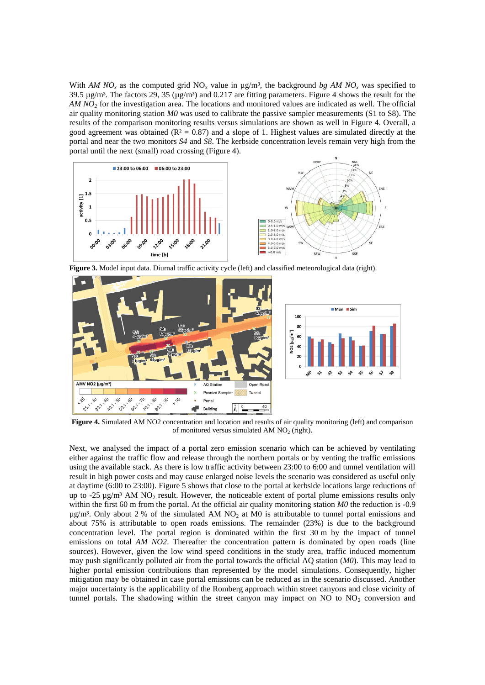With *AM NO<sub>x</sub>* as the computed grid NO<sub>x</sub> value in  $\mu$ g/m<sup>3</sup>, the background *bg AM NO<sub>x</sub></sub>* was specified to 39.5  $\mu$ g/m<sup>3</sup>. The factors 29, 35 ( $\mu$ g/m<sup>3</sup>) and 0.217 are fitting parameters. [Figure 4](#page-3-1) shows the result for the *AM NO<sup>2</sup>* for the investigation area. The locations and monitored values are indicated as well. The official air quality monitoring station *M0* was used to calibrate the passive sampler measurements (S1 to S8). The results of the comparison monitoring results versus simulations are shown as well in [Figure 4.](#page-3-1) Overall, a good agreement was obtained ( $\mathbb{R}^2 = 0.87$ ) and a slope of 1. Highest values are simulated directly at the portal and near the two monitors *S4* and *S8*. The kerbside concentration levels remain very high from the portal until the next (small) road crossing [\(Figure 4\)](#page-3-1).



<span id="page-3-0"></span>**Figure 3.** Model input data. Diurnal traffic activity cycle (left) and classified meteorological data (right).



<span id="page-3-1"></span>**Figure 4.** Simulated AM NO2 concentration and location and results of air quality monitoring (left) and comparison of monitored versus simulated AM  $NO<sub>2</sub>$  (right).

Next, we analysed the impact of a portal zero emission scenario which can be achieved by ventilating either against the traffic flow and release through the northern portals or by venting the traffic emissions using the available stack. As there is low traffic activity between 23:00 to 6:00 and tunnel ventilation will result in high power costs and may cause enlarged noise levels the scenario was considered as useful only at daytime (6:00 to 23:00). [Figure 5](#page-4-0) shows that close to the portal at kerbside locations large reductions of up to  $-25 \text{ ug/m}^3$  AM NO<sub>2</sub> result. However, the noticeable extent of portal plume emissions results only within the first 60 m from the portal. At the official air quality monitoring station *M0* the reduction is -0.9  $\mu$ g/m<sup>3</sup>. Only about 2 % of the simulated AM NO<sub>2</sub> at M0 is attributable to tunnel portal emissions and about 75% is attributable to open roads emissions. The remainder (23%) is due to the background concentration level. The portal region is dominated within the first 30 m by the impact of tunnel emissions on total *AM NO2*. Thereafter the concentration pattern is dominated by open roads (line sources). However, given the low wind speed conditions in the study area, traffic induced momentum may push significantly polluted air from the portal towards the official AQ station (*M0*). This may lead to higher portal emission contributions than represented by the model simulations. Consequently, higher mitigation may be obtained in case portal emissions can be reduced as in the scenario discussed. Another major uncertainty is the applicability of the Romberg approach within street canyons and close vicinity of tunnel portals. The shadowing within the street canyon may impact on NO to  $NO<sub>2</sub>$  conversion and